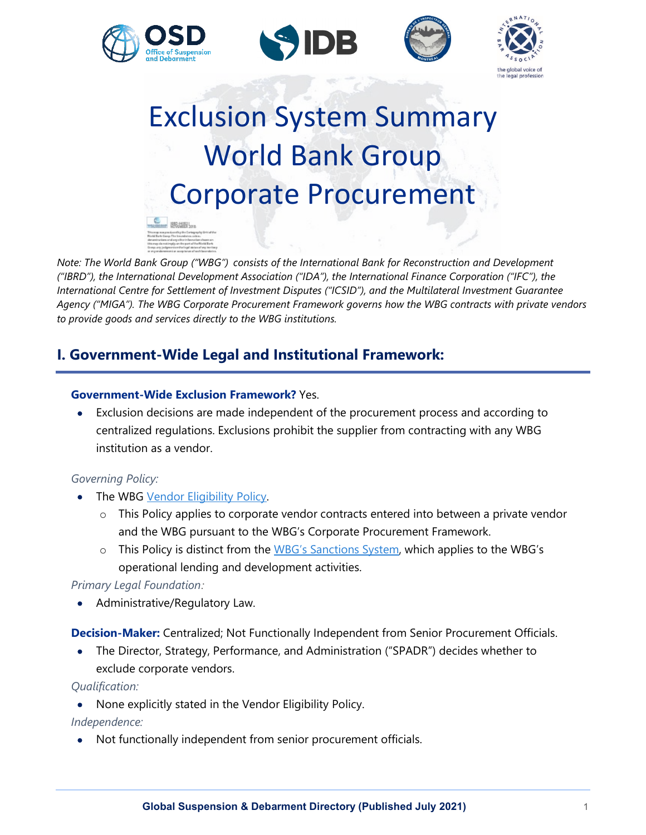







# Exclusion System Summary World Bank Group Corporate Procurement  $= 1334181...$

*Note: The World Bank Group ("WBG") consists of the International Bank for Reconstruction and Development ("IBRD"), the International Development Association ("IDA"), the International Finance Corporation ("IFC"), the International Centre for Settlement of Investment Disputes ("ICSID"), and the Multilateral Investment Guarantee Agency ("MIGA"). The WBG Corporate Procurement Framework governs how the WBG contracts with private vendors to provide goods and services directly to the WBG institutions.*

# **I. Government-Wide Legal and Institutional Framework:**

#### **Government-Wide Exclusion Framework?** Yes.

• Exclusion decisions are made independent of the procurement process and according to centralized regulations. Exclusions prohibit the supplier from contracting with any WBG institution as a vendor.

# *Governing Policy:*

- The WBG [Vendor Eligibility Policy.](https://thedocs.worldbank.org/en/doc/eb2a500aa303af155590482c51f7a7d1-0180022017/original/Vendor-Elegibility-Policy.pdf)
	- $\circ$  This Policy applies to corporate vendor contracts entered into between a private vendor and the WBG pursuant to the WBG's Corporate Procurement Framework.
	- o This Policy is distinct from the [WBG's Sanctions System,](https://www.worldbank.org/en/about/unit/sanctions-system) which applies to the WBG's operational lending and development activities.

# *Primary Legal Foundation:*

• Administrative/Regulatory Law.

#### **Decision-Maker:** Centralized; Not Functionally Independent from Senior Procurement Officials.

• The Director, Strategy, Performance, and Administration ("SPADR") decides whether to exclude corporate vendors.

#### *Qualification:*

• None explicitly stated in the Vendor Eligibility Policy.

# *Independence:*

• Not functionally independent from senior procurement officials.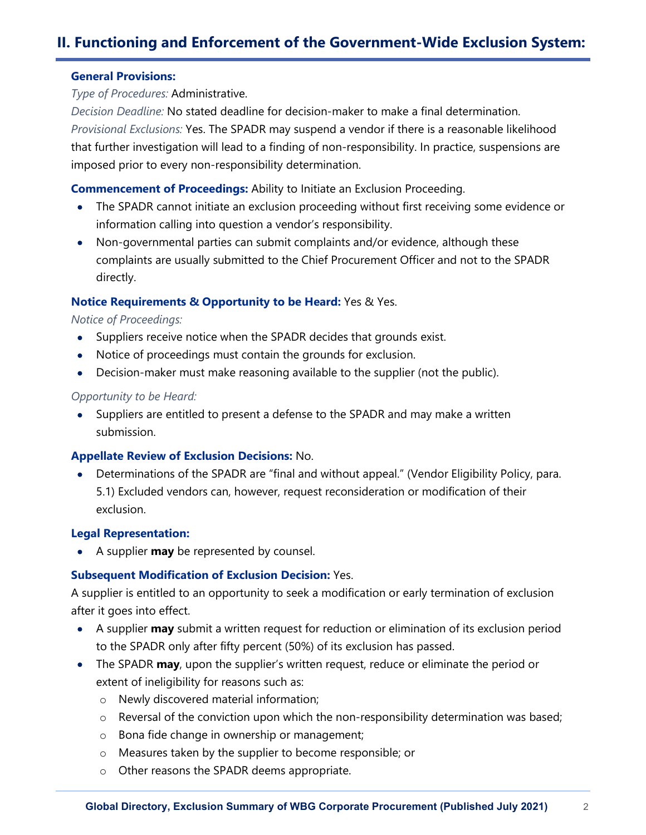#### **General Provisions:**

*Type of Procedures:* Administrative.

*Decision Deadline:* No stated deadline for decision-maker to make a final determination. *Provisional Exclusions:* Yes. The SPADR may suspend a vendor if there is a reasonable likelihood that further investigation will lead to a finding of non-responsibility. In practice, suspensions are imposed prior to every non-responsibility determination.

# **Commencement of Proceedings:** Ability to Initiate an Exclusion Proceeding.

- The SPADR cannot initiate an exclusion proceeding without first receiving some evidence or information calling into question a vendor's responsibility.
- Non-governmental parties can submit complaints and/or evidence, although these complaints are usually submitted to the Chief Procurement Officer and not to the SPADR directly.

# **Notice Requirements & Opportunity to be Heard:** Yes & Yes.

#### *Notice of Proceedings:*

- Suppliers receive notice when the SPADR decides that grounds exist.
- Notice of proceedings must contain the grounds for exclusion.
- Decision-maker must make reasoning available to the supplier (not the public).

#### *Opportunity to be Heard:*

• Suppliers are entitled to present a defense to the SPADR and may make a written submission.

# **Appellate Review of Exclusion Decisions:** No.

• Determinations of the SPADR are "final and without appeal." (Vendor Eligibility Policy, para. 5.1) Excluded vendors can, however, request reconsideration or modification of their exclusion.

#### **Legal Representation:**

• A supplier **may** be represented by counsel.

# **Subsequent Modification of Exclusion Decision:** Yes.

A supplier is entitled to an opportunity to seek a modification or early termination of exclusion after it goes into effect.

- A supplier **may** submit a written request for reduction or elimination of its exclusion period to the SPADR only after fifty percent (50%) of its exclusion has passed.
- The SPADR **may**, upon the supplier's written request, reduce or eliminate the period or extent of ineligibility for reasons such as:
	- o Newly discovered material information;
	- o Reversal of the conviction upon which the non-responsibility determination was based;
	- o Bona fide change in ownership or management;
	- o Measures taken by the supplier to become responsible; or
	- o Other reasons the SPADR deems appropriate.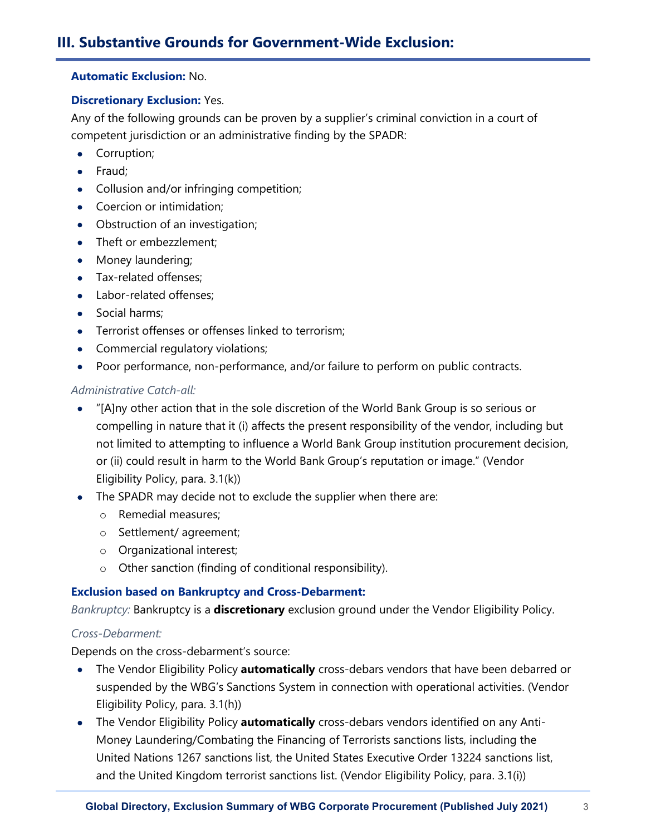#### **Automatic Exclusion:** No.

#### **Discretionary Exclusion:** Yes.

Any of the following grounds can be proven by a supplier's criminal conviction in a court of competent jurisdiction or an administrative finding by the SPADR:

- Corruption;
- Fraud;
- Collusion and/or infringing competition;
- Coercion or intimidation;
- Obstruction of an investigation;
- Theft or embezzlement:
- Money laundering;
- Tax-related offenses;
- Labor-related offenses;
- Social harms;
- Terrorist offenses or offenses linked to terrorism;
- Commercial regulatory violations;
- Poor performance, non-performance, and/or failure to perform on public contracts.

#### *Administrative Catch-all:*

- "[A]ny other action that in the sole discretion of the World Bank Group is so serious or compelling in nature that it (i) affects the present responsibility of the vendor, including but not limited to attempting to influence a World Bank Group institution procurement decision, or (ii) could result in harm to the World Bank Group's reputation or image." (Vendor Eligibility Policy, para. 3.1(k))
- The SPADR may decide not to exclude the supplier when there are:
	- o Remedial measures;
	- o Settlement/ agreement;
	- o Organizational interest;
	- o Other sanction (finding of conditional responsibility).

# **Exclusion based on Bankruptcy and Cross-Debarment:**

*Bankruptcy:* Bankruptcy is a **discretionary** exclusion ground under the Vendor Eligibility Policy.

# *Cross-Debarment:*

Depends on the cross-debarment's source:

- The Vendor Eligibility Policy **automatically** cross-debars vendors that have been debarred or suspended by the WBG's Sanctions System in connection with operational activities. (Vendor Eligibility Policy, para. 3.1(h))
- The Vendor Eligibility Policy **automatically** cross-debars vendors identified on any Anti-Money Laundering/Combating the Financing of Terrorists sanctions lists, including the United Nations 1267 sanctions list, the United States Executive Order 13224 sanctions list, and the United Kingdom terrorist sanctions list. (Vendor Eligibility Policy, para. 3.1(i))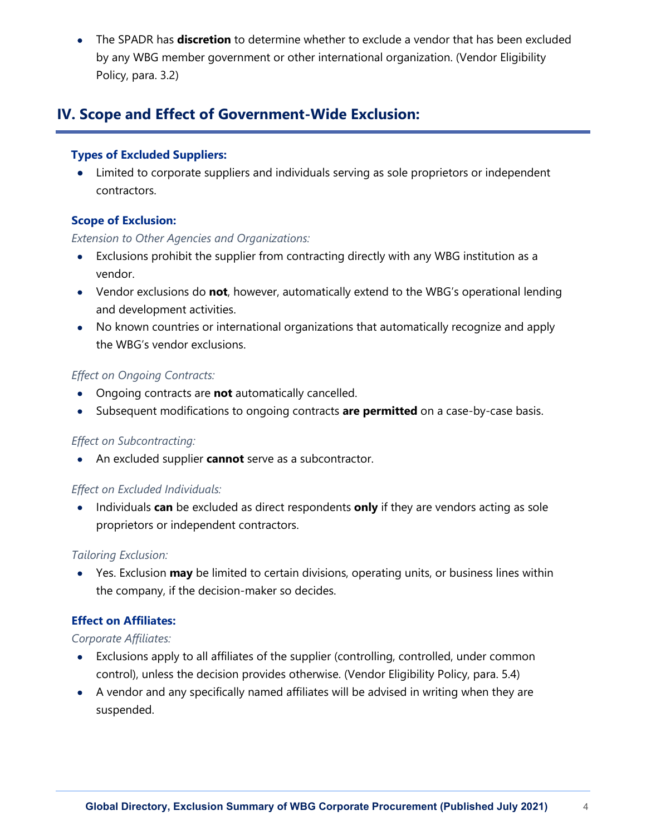• The SPADR has **discretion** to determine whether to exclude a vendor that has been excluded by any WBG member government or other international organization. (Vendor Eligibility Policy, para. 3.2)

# **IV. Scope and Effect of Government-Wide Exclusion:**

# **Types of Excluded Suppliers:**

• Limited to corporate suppliers and individuals serving as sole proprietors or independent contractors.

# **Scope of Exclusion:**

# *Extension to Other Agencies and Organizations:*

- Exclusions prohibit the supplier from contracting directly with any WBG institution as a vendor.
- Vendor exclusions do **not**, however, automatically extend to the WBG's operational lending and development activities.
- No known countries or international organizations that automatically recognize and apply the WBG's vendor exclusions.

# *Effect on Ongoing Contracts:*

- Ongoing contracts are **not** automatically cancelled.
- Subsequent modifications to ongoing contracts **are permitted** on a case-by-case basis.

# *Effect on Subcontracting:*

• An excluded supplier **cannot** serve as a subcontractor.

# *Effect on Excluded Individuals:*

• Individuals **can** be excluded as direct respondents **only** if they are vendors acting as sole proprietors or independent contractors.

# *Tailoring Exclusion:*

• Yes. Exclusion **may** be limited to certain divisions, operating units, or business lines within the company, if the decision-maker so decides.

# **Effect on Affiliates:**

# *Corporate Affiliates:*

- Exclusions apply to all affiliates of the supplier (controlling, controlled, under common control), unless the decision provides otherwise. (Vendor Eligibility Policy, para. 5.4)
- A vendor and any specifically named affiliates will be advised in writing when they are suspended.